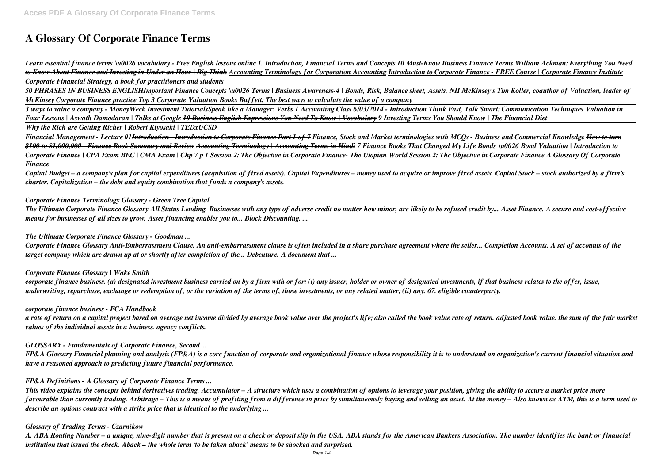# **A Glossary Of Corporate Finance Terms**

*Learn essential finance terms \u0026 vocabulary - Free English lessons online 1. Introduction, Financial Terms and Concepts 10 Must-Know Business Finance Terms William Ackman: Everything You Need to Know About Finance and Investing in Under an Hour | Big Think Accounting Terminology for Corporation Accounting Introduction to Corporate Finance - FREE Course | Corporate Finance Institute Corporate Financial Strategy, a book for practitioners and students*

*50 PHRASES IN BUSINESS ENGLISHImportant Finance Concepts \u0026 Terms | Business Awareness-4 | Bonds, Risk, Balance sheet, Assets, NII McKinsey's Tim Koller, coauthor of Valuation, leader of McKinsey Corporate Finance practice Top 3 Corporate Valuation Books Buffett: The best ways to calculate the value of a company* 

*3 ways to value a company - MoneyWeek Investment TutorialsSpeak like a Manager: Verbs 1 Accounting Class 6/03/2014 - Introduction Think Fast, Talk Smart: Communication Techniques Valuation in Four Lessons | Aswath Damodaran | Talks at Google 10 Business English Expressions You Need To Know | Vocabulary 9 Investing Terms You Should Know | The Financial Diet Why the Rich are Getting Richer | Robert Kiyosaki | TEDxUCSD*

*Financial Management - Lecture 01Introduction - Introduction to Corporate Finance Part 1 of 7 Finance, Stock and Market terminologies with MCQs - Business and Commercial Knowledge How to turn \$100 to \$1,000,000 - Finance Book Summary and Review Accounting Terminology | Accounting Terms in Hindi 7 Finance Books That Changed My Life Bonds \u0026 Bond Valuation | Introduction to Corporate Finance | CPA Exam BEC | CMA Exam | Chp 7 p 1 Session 2: The Objective in Corporate Finance- The Utopian World Session 2: The Objective in Corporate Finance A Glossary Of Corporate Finance*

*Capital Budget – a company's plan for capital expenditures (acquisition of fixed assets). Capital Expenditures – money used to acquire or improve fixed assets. Capital Stock – stock authorized by a firm's charter. Capitalization – the debt and equity combination that funds a company's assets.*

## *Corporate Finance Terminology Glossary - Green Tree Capital*

*The Ultimate Corporate Finance Glossary All Status Lending. Businesses with any type of adverse credit no matter how minor, are likely to be refused credit by... Asset Finance. A secure and cost-effective means for businesses of all sizes to grow. Asset financing enables you to... Block Discounting. ...*

## *The Ultimate Corporate Finance Glossary - Goodman ...*

*Corporate Finance Glossary Anti-Embarrassment Clause. An anti‐embarrassment clause is often included in a share purchase agreement where the seller... Completion Accounts. A set of accounts of the target company which are drawn up at or shortly after completion of the... Debenture. A document that ...*

## *Corporate Finance Glossary | Wake Smith*

*corporate finance business. (a) designated investment business carried on by a firm with or for: (i) any issuer, holder or owner of designated investments, if that business relates to the offer, issue, underwriting, repurchase, exchange or redemption of, or the variation of the terms of, those investments, or any related matter; (ii) any. 67. eligible counterparty.*

## *corporate finance business - FCA Handbook*

*a rate of return on a capital project based on average net income divided by average book value over the project's life; also called the book value rate of return. adjusted book value. the sum of the fair market values of the individual assets in a business. agency conflicts.*

## *GLOSSARY - Fundamentals of Corporate Finance, Second ...*

*FP&A Glossary Financial planning and analysis (FP&A) is a core function of corporate and organizational finance whose responsibility it is to understand an organization's current financial situation and have a reasoned approach to predicting future financial performance.*

## *FP&A Definitions - A Glossary of Corporate Finance Terms ...*

*This video explains the concepts behind derivatives trading. Accumulator – A structure which uses a combination of options to leverage your position, giving the ability to secure a market price more favourable than currently trading. Arbitrage – This is a means of profiting from a difference in price by simultaneously buying and selling an asset. At the money – Also known as ATM, this is a term used to describe an options contract with a strike price that is identical to the underlying ...*

## *Glossary of Trading Terms - Czarnikow*

*A. ABA Routing Number – a unique, nine-digit number that is present on a check or deposit slip in the USA. ABA stands for the American Bankers Association. The number identifies the bank or financial institution that issued the check. Aback – the whole term 'to be taken aback' means to be shocked and surprised.*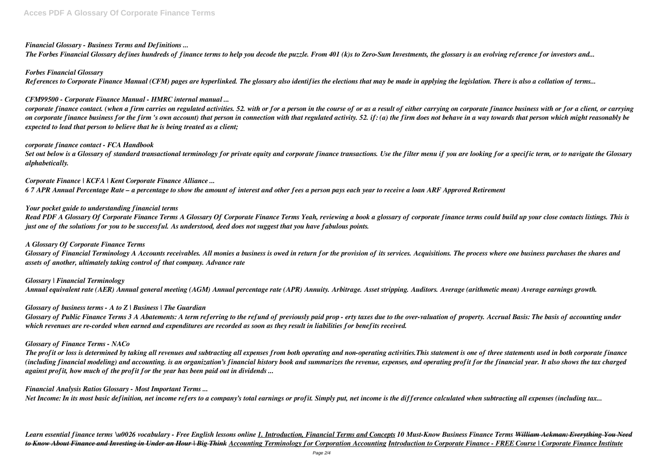# *Financial Glossary - Business Terms and Definitions ...*

*The Forbes Financial Glossary defines hundreds of finance terms to help you decode the puzzle. From 401 (k)s to Zero-Sum Investments, the glossary is an evolving reference for investors and...*

## *Forbes Financial Glossary*

*References to Corporate Finance Manual (CFM) pages are hyperlinked. The glossary also identifies the elections that may be made in applying the legislation. There is also a collation of terms...*

# *CFM99500 - Corporate Finance Manual - HMRC internal manual ...*

*corporate finance contact. (when a firm carries on regulated activities. 52. with or for a person in the course of or as a result of either carrying on corporate finance business with or for a client, or carrying on corporate finance business for the firm 's own account) that person in connection with that regulated activity. 52. if: (a) the firm does not behave in a way towards that person which might reasonably be expected to lead that person to believe that he is being treated as a client;*

## *corporate finance contact - FCA Handbook*

*Set out below is a Glossary of standard transactional terminology for private equity and corporate finance transactions. Use the filter menu if you are looking for a specific term, or to navigate the Glossary alphabetically.*

*Corporate Finance | KCFA | Kent Corporate Finance Alliance ... 6 7 APR Annual Percentage Rate – a percentage to show the amount of interest and other fees a person pays each year to receive a loan ARF Approved Retirement*

# *Your pocket guide to understanding financial terms*

*Read PDF A Glossary Of Corporate Finance Terms A Glossary Of Corporate Finance Terms Yeah, reviewing a book a glossary of corporate finance terms could build up your close contacts listings. This is just one of the solutions for you to be successful. As understood, deed does not suggest that you have fabulous points.*

## *A Glossary Of Corporate Finance Terms*

*Glossary of Financial Terminology A Accounts receivables. All monies a business is owed in return for the provision of its services. Acquisitions. The process where one business purchases the shares and assets of another, ultimately taking control of that company. Advance rate*

*Glossary | Financial Terminology Annual equivalent rate (AER) Annual general meeting (AGM) Annual percentage rate (APR) Annuity. Arbitrage. Asset stripping. Auditors. Average (arithmetic mean) Average earnings growth.*

*Glossary of business terms - A to Z | Business | The Guardian*

*Glossary of Public Finance Terms 3 A Abatements: A term referring to the refund of previously paid prop - erty taxes due to the over-valuation of property. Accrual Basis: The basis of accounting under which revenues are re-corded when earned and expenditures are recorded as soon as they result in liabilities for benefits received.*

## *Glossary of Finance Terms - NACo*

*The profit or loss is determined by taking all revenues and subtracting all expenses from both operating and non-operating activities.This statement is one of three statements used in both corporate finance (including financial modeling) and accounting. is an organization's financial history book and summarizes the revenue, expenses, and operating profit for the financial year. It also shows the tax charged against profit, how much of the profit for the year has been paid out in dividends ...*

## *Financial Analysis Ratios Glossary - Most Important Terms ...*

*Net Income: In its most basic definition, net income refers to a company's total earnings or profit. Simply put, net income is the difference calculated when subtracting all expenses (including tax...*

*Learn essential finance terms \u0026 vocabulary - Free English lessons online 1. Introduction, Financial Terms and Concepts 10 Must-Know Business Finance Terms William Ackman: Everything You Need to Know About Finance and Investing in Under an Hour | Big Think Accounting Terminology for Corporation Accounting Introduction to Corporate Finance - FREE Course | Corporate Finance Institute*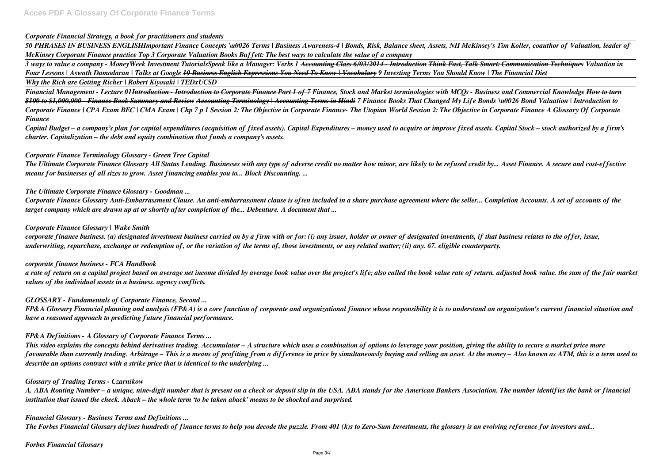## *Corporate Financial Strategy, a book for practitioners and students*

*50 PHRASES IN BUSINESS ENGLISHImportant Finance Concepts \u0026 Terms | Business Awareness-4 | Bonds, Risk, Balance sheet, Assets, NII McKinsey's Tim Koller, coauthor of Valuation, leader of McKinsey Corporate Finance practice Top 3 Corporate Valuation Books Buffett: The best ways to calculate the value of a company* 

*3 ways to value a company - MoneyWeek Investment TutorialsSpeak like a Manager: Verbs 1 Accounting Class 6/03/2014 - Introduction Think Fast, Talk Smart: Communication Techniques Valuation in Four Lessons | Aswath Damodaran | Talks at Google 10 Business English Expressions You Need To Know | Vocabulary 9 Investing Terms You Should Know | The Financial Diet Why the Rich are Getting Richer | Robert Kiyosaki | TEDxUCSD*

*Financial Management - Lecture 01Introduction - Introduction to Corporate Finance Part 1 of 7 Finance, Stock and Market terminologies with MCQs - Business and Commercial Knowledge How to turn \$100 to \$1,000,000 - Finance Book Summary and Review Accounting Terminology | Accounting Terms in Hindi 7 Finance Books That Changed My Life Bonds \u0026 Bond Valuation | Introduction to Corporate Finance | CPA Exam BEC | CMA Exam | Chp 7 p 1 Session 2: The Objective in Corporate Finance- The Utopian World Session 2: The Objective in Corporate Finance A Glossary Of Corporate Finance*

*Capital Budget – a company's plan for capital expenditures (acquisition of fixed assets). Capital Expenditures – money used to acquire or improve fixed assets. Capital Stock – stock authorized by a firm's charter. Capitalization – the debt and equity combination that funds a company's assets.*

## *Corporate Finance Terminology Glossary - Green Tree Capital*

*The Ultimate Corporate Finance Glossary All Status Lending. Businesses with any type of adverse credit no matter how minor, are likely to be refused credit by... Asset Finance. A secure and cost-effective means for businesses of all sizes to grow. Asset financing enables you to... Block Discounting. ...*

## *The Ultimate Corporate Finance Glossary - Goodman ...*

*Corporate Finance Glossary Anti-Embarrassment Clause. An anti‐embarrassment clause is often included in a share purchase agreement where the seller... Completion Accounts. A set of accounts of the target company which are drawn up at or shortly after completion of the... Debenture. A document that ...*

#### *Corporate Finance Glossary | Wake Smith*

*corporate finance business. (a) designated investment business carried on by a firm with or for: (i) any issuer, holder or owner of designated investments, if that business relates to the offer, issue, underwriting, repurchase, exchange or redemption of, or the variation of the terms of, those investments, or any related matter; (ii) any. 67. eligible counterparty.*

#### *corporate finance business - FCA Handbook*

*a rate of return on a capital project based on average net income divided by average book value over the project's life; also called the book value rate of return. adjusted book value. the sum of the fair market values of the individual assets in a business. agency conflicts.*

## *GLOSSARY - Fundamentals of Corporate Finance, Second ...*

*FP&A Glossary Financial planning and analysis (FP&A) is a core function of corporate and organizational finance whose responsibility it is to understand an organization's current financial situation and have a reasoned approach to predicting future financial performance.*

## *FP&A Definitions - A Glossary of Corporate Finance Terms ...*

*This video explains the concepts behind derivatives trading. Accumulator – A structure which uses a combination of options to leverage your position, giving the ability to secure a market price more favourable than currently trading. Arbitrage – This is a means of profiting from a difference in price by simultaneously buying and selling an asset. At the money – Also known as ATM, this is a term used to describe an options contract with a strike price that is identical to the underlying ...*

#### *Glossary of Trading Terms - Czarnikow*

*A. ABA Routing Number – a unique, nine-digit number that is present on a check or deposit slip in the USA. ABA stands for the American Bankers Association. The number identifies the bank or financial institution that issued the check. Aback – the whole term 'to be taken aback' means to be shocked and surprised.*

## *Financial Glossary - Business Terms and Definitions ...*

*The Forbes Financial Glossary defines hundreds of finance terms to help you decode the puzzle. From 401 (k)s to Zero-Sum Investments, the glossary is an evolving reference for investors and...*

*Forbes Financial Glossary*